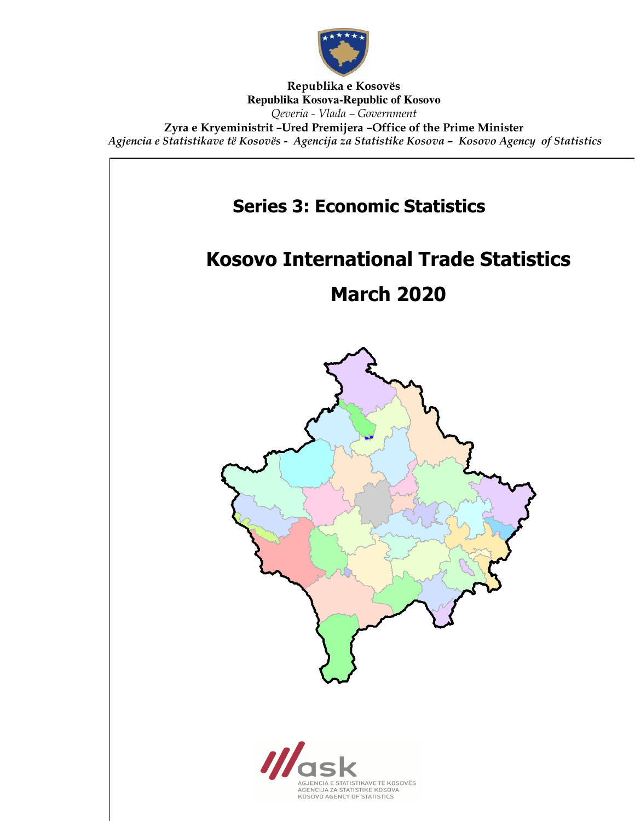

Republika e Kosovës **Republika Kosova-Republic of Kosovo** Qeveria - Vlada – Government Zyra e Kryeministrit –Ured Premijera –Office of the Prime Minister Agjencia e Statistikave të Kosovës - Agencija za Statistike Kosova – Kosovo Agency of Statistics

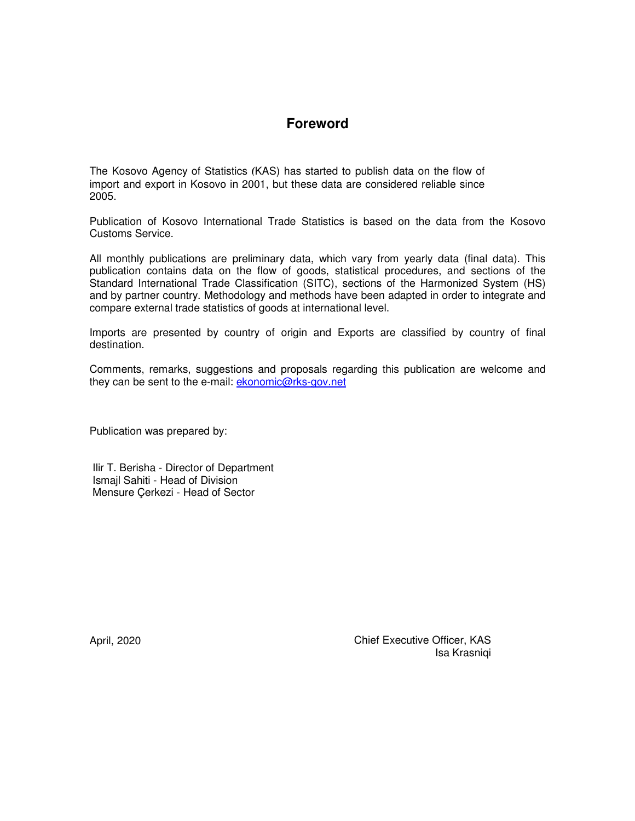### **Foreword**

The Kosovo Agency of Statistics (KAS) has started to publish data on the flow of import and export in Kosovo in 2001, but these data are considered reliable since 2005.

Publication of Kosovo International Trade Statistics is based on the data from the Kosovo Customs Service.

All monthly publications are preliminary data, which vary from yearly data (final data). This publication contains data on the flow of goods, statistical procedures, and sections of the Standard International Trade Classification (SITC), sections of the Harmonized System (HS) and by partner country. Methodology and methods have been adapted in order to integrate and compare external trade statistics of goods at international level.

Imports are presented by country of origin and Exports are classified by country of final destination.

Comments, remarks, suggestions and proposals regarding this publication are welcome and they can be sent to the e-mail: **ekonomic@rks-gov.net** 

Publication was prepared by:

 Ilir T. Berisha - Director of Department Ismajl Sahiti - Head of Division Mensure Çerkezi - Head of Sector

April, 2020 Chief Executive Officer, KAS Isa Krasniqi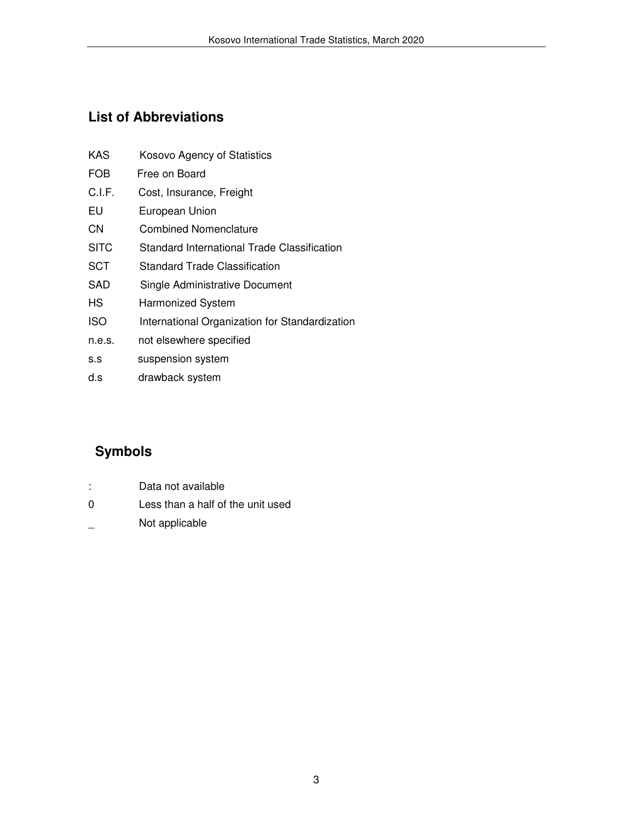## **List of Abbreviations**

| KAS         | Kosovo Agency of Statistics                    |
|-------------|------------------------------------------------|
| <b>FOB</b>  | Free on Board                                  |
| C.I.F.      | Cost, Insurance, Freight                       |
| EU          | European Union                                 |
| CΝ          | Combined Nomenclature                          |
| <b>SITC</b> | Standard International Trade Classification    |
| SCT         | Standard Trade Classification                  |
| SAD         | Single Administrative Document                 |
| НS          | <b>Harmonized System</b>                       |
| <b>ISO</b>  | International Organization for Standardization |
| n.e.s.      | not elsewhere specified                        |
|             |                                                |

- s.s suspension system
- d.s drawback system

# **Symbols**

- : Data not available
- 0 Less than a half of the unit used
- \_ Not applicable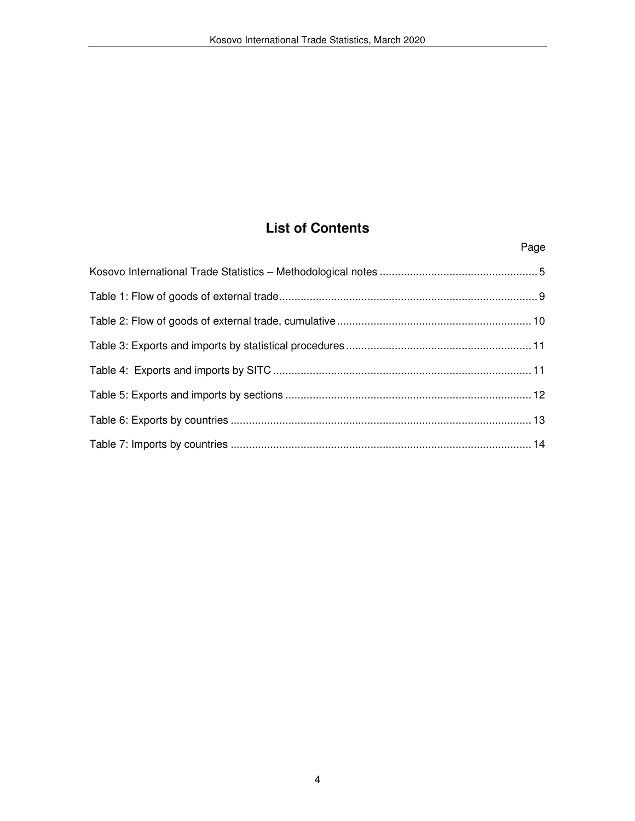## **List of Contents**

Page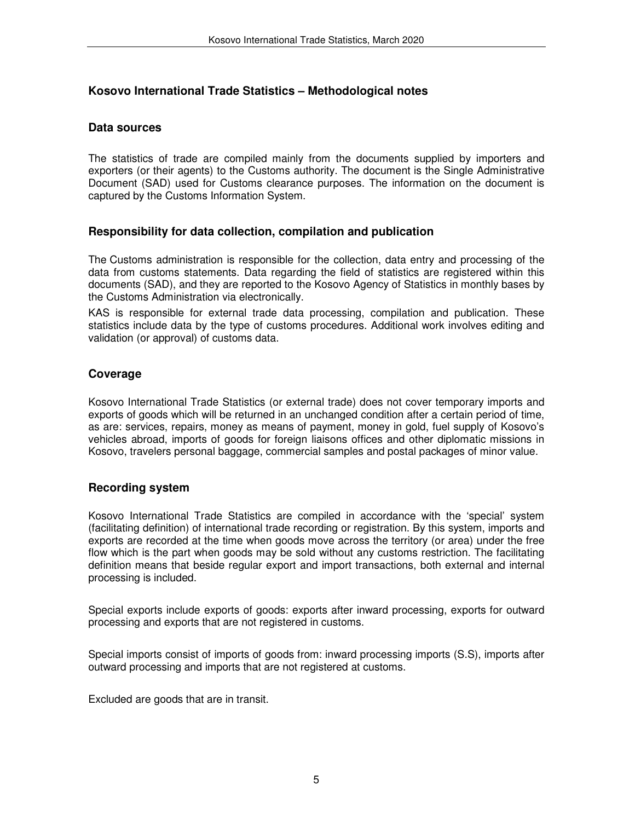#### **Kosovo International Trade Statistics – Methodological notes**

#### **Data sources**

The statistics of trade are compiled mainly from the documents supplied by importers and exporters (or their agents) to the Customs authority. The document is the Single Administrative Document (SAD) used for Customs clearance purposes. The information on the document is captured by the Customs Information System.

#### **Responsibility for data collection, compilation and publication**

The Customs administration is responsible for the collection, data entry and processing of the data from customs statements. Data regarding the field of statistics are registered within this documents (SAD), and they are reported to the Kosovo Agency of Statistics in monthly bases by the Customs Administration via electronically.

KAS is responsible for external trade data processing, compilation and publication. These statistics include data by the type of customs procedures. Additional work involves editing and validation (or approval) of customs data.

#### **Coverage**

Kosovo International Trade Statistics (or external trade) does not cover temporary imports and exports of goods which will be returned in an unchanged condition after a certain period of time, as are: services, repairs, money as means of payment, money in gold, fuel supply of Kosovo's vehicles abroad, imports of goods for foreign liaisons offices and other diplomatic missions in Kosovo, travelers personal baggage, commercial samples and postal packages of minor value.

#### **Recording system**

Kosovo International Trade Statistics are compiled in accordance with the 'special' system (facilitating definition) of international trade recording or registration. By this system, imports and exports are recorded at the time when goods move across the territory (or area) under the free flow which is the part when goods may be sold without any customs restriction. The facilitating definition means that beside regular export and import transactions, both external and internal processing is included.

Special exports include exports of goods: exports after inward processing, exports for outward processing and exports that are not registered in customs.

Special imports consist of imports of goods from: inward processing imports (S.S), imports after outward processing and imports that are not registered at customs.

Excluded are goods that are in transit.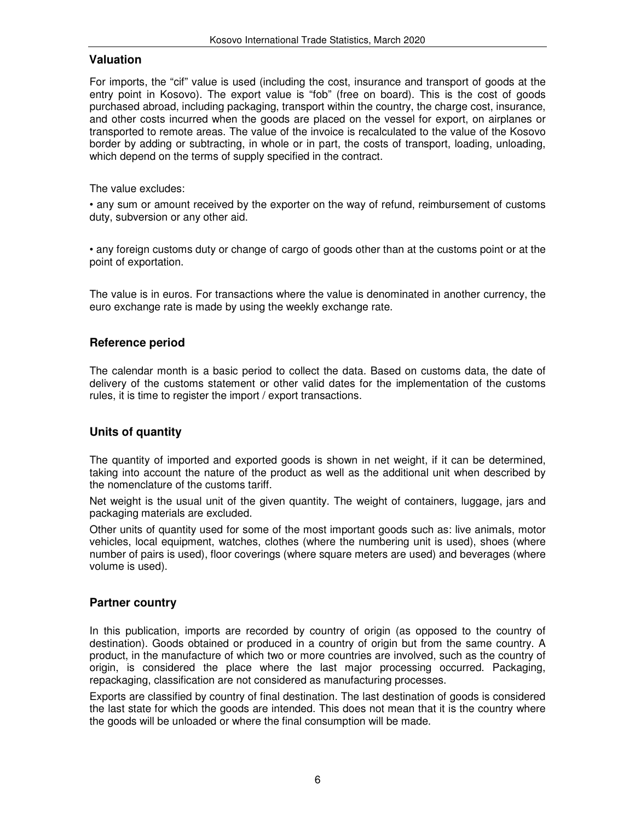#### **Valuation**

For imports, the "cif" value is used (including the cost, insurance and transport of goods at the entry point in Kosovo). The export value is "fob" (free on board). This is the cost of goods purchased abroad, including packaging, transport within the country, the charge cost, insurance, and other costs incurred when the goods are placed on the vessel for export, on airplanes or transported to remote areas. The value of the invoice is recalculated to the value of the Kosovo border by adding or subtracting, in whole or in part, the costs of transport, loading, unloading, which depend on the terms of supply specified in the contract.

The value excludes:

• any sum or amount received by the exporter on the way of refund, reimbursement of customs duty, subversion or any other aid.

• any foreign customs duty or change of cargo of goods other than at the customs point or at the point of exportation.

The value is in euros. For transactions where the value is denominated in another currency, the euro exchange rate is made by using the weekly exchange rate.

### **Reference period**

The calendar month is a basic period to collect the data. Based on customs data, the date of delivery of the customs statement or other valid dates for the implementation of the customs rules, it is time to register the import / export transactions.

#### **Units of quantity**

The quantity of imported and exported goods is shown in net weight, if it can be determined, taking into account the nature of the product as well as the additional unit when described by the nomenclature of the customs tariff.

Net weight is the usual unit of the given quantity. The weight of containers, luggage, jars and packaging materials are excluded.

Other units of quantity used for some of the most important goods such as: live animals, motor vehicles, local equipment, watches, clothes (where the numbering unit is used), shoes (where number of pairs is used), floor coverings (where square meters are used) and beverages (where volume is used).

#### **Partner country**

In this publication, imports are recorded by country of origin (as opposed to the country of destination). Goods obtained or produced in a country of origin but from the same country. A product, in the manufacture of which two or more countries are involved, such as the country of origin, is considered the place where the last major processing occurred. Packaging, repackaging, classification are not considered as manufacturing processes.

Exports are classified by country of final destination. The last destination of goods is considered the last state for which the goods are intended. This does not mean that it is the country where the goods will be unloaded or where the final consumption will be made.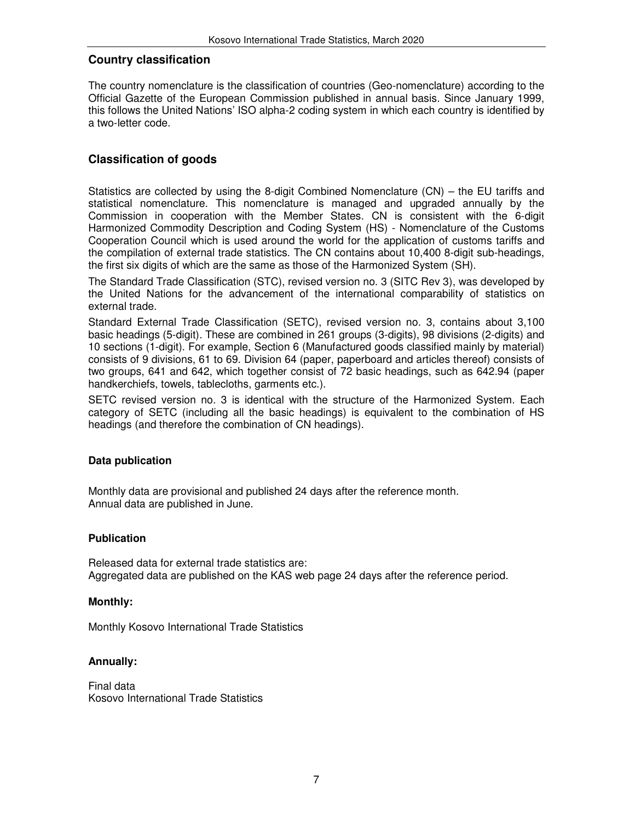#### **Country classification**

The country nomenclature is the classification of countries (Geo-nomenclature) according to the Official Gazette of the European Commission published in annual basis. Since January 1999, this follows the United Nations' ISO alpha-2 coding system in which each country is identified by a two-letter code.

#### **Classification of goods**

Statistics are collected by using the 8-digit Combined Nomenclature (CN) – the EU tariffs and statistical nomenclature. This nomenclature is managed and upgraded annually by the Commission in cooperation with the Member States. CN is consistent with the 6-digit Harmonized Commodity Description and Coding System (HS) - Nomenclature of the Customs Cooperation Council which is used around the world for the application of customs tariffs and the compilation of external trade statistics. The CN contains about 10,400 8-digit sub-headings, the first six digits of which are the same as those of the Harmonized System (SH).

The Standard Trade Classification (STC), revised version no. 3 (SITC Rev 3), was developed by the United Nations for the advancement of the international comparability of statistics on external trade.

Standard External Trade Classification (SETC), revised version no. 3, contains about 3,100 basic headings (5-digit). These are combined in 261 groups (3-digits), 98 divisions (2-digits) and 10 sections (1-digit). For example, Section 6 (Manufactured goods classified mainly by material) consists of 9 divisions, 61 to 69. Division 64 (paper, paperboard and articles thereof) consists of two groups, 641 and 642, which together consist of 72 basic headings, such as 642.94 (paper handkerchiefs, towels, tablecloths, garments etc.).

SETC revised version no. 3 is identical with the structure of the Harmonized System. Each category of SETC (including all the basic headings) is equivalent to the combination of HS headings (and therefore the combination of CN headings).

#### **Data publication**

Monthly data are provisional and published 24 days after the reference month. Annual data are published in June.

#### **Publication**

Released data for external trade statistics are: Aggregated data are published on the KAS web page 24 days after the reference period.

#### **Monthly:**

Monthly Kosovo International Trade Statistics

#### **Annually:**

Final data Kosovo International Trade Statistics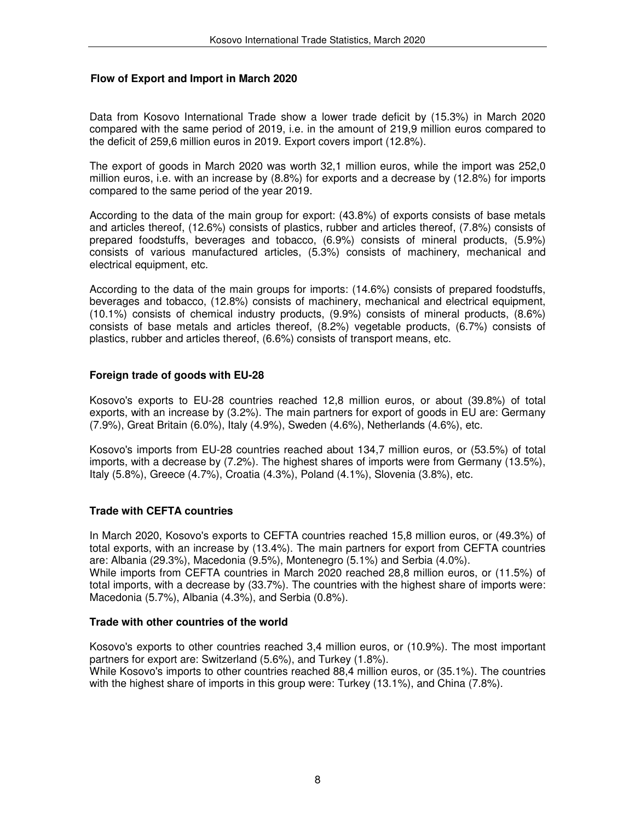#### **Flow of Export and Import in March 2020**

Data from Kosovo International Trade show a lower trade deficit by (15.3%) in March 2020 compared with the same period of 2019, i.e. in the amount of 219,9 million euros compared to the deficit of 259,6 million euros in 2019. Export covers import (12.8%).

The export of goods in March 2020 was worth 32,1 million euros, while the import was 252,0 million euros, i.e. with an increase by (8.8%) for exports and a decrease by (12.8%) for imports compared to the same period of the year 2019.

According to the data of the main group for export: (43.8%) of exports consists of base metals and articles thereof, (12.6%) consists of plastics, rubber and articles thereof, (7.8%) consists of prepared foodstuffs, beverages and tobacco, (6.9%) consists of mineral products, (5.9%) consists of various manufactured articles, (5.3%) consists of machinery, mechanical and electrical equipment, etc.

According to the data of the main groups for imports: (14.6%) consists of prepared foodstuffs, beverages and tobacco, (12.8%) consists of machinery, mechanical and electrical equipment, (10.1%) consists of chemical industry products, (9.9%) consists of mineral products, (8.6%) consists of base metals and articles thereof, (8.2%) vegetable products, (6.7%) consists of plastics, rubber and articles thereof, (6.6%) consists of transport means, etc.

#### **Foreign trade of goods with EU-28**

Kosovo's exports to EU-28 countries reached 12,8 million euros, or about (39.8%) of total exports, with an increase by (3.2%). The main partners for export of goods in EU are: Germany (7.9%), Great Britain (6.0%), Italy (4.9%), Sweden (4.6%), Netherlands (4.6%), etc.

Kosovo's imports from EU-28 countries reached about 134,7 million euros, or (53.5%) of total imports, with a decrease by (7.2%). The highest shares of imports were from Germany (13.5%), Italy (5.8%), Greece (4.7%), Croatia (4.3%), Poland (4.1%), Slovenia (3.8%), etc.

#### **Trade with CEFTA countries**

In March 2020, Kosovo's exports to CEFTA countries reached 15,8 million euros, or (49.3%) of total exports, with an increase by (13.4%). The main partners for export from CEFTA countries are: Albania (29.3%), Macedonia (9.5%), Montenegro (5.1%) and Serbia (4.0%). While imports from CEFTA countries in March 2020 reached 28,8 million euros, or (11.5%) of total imports, with a decrease by (33.7%). The countries with the highest share of imports were:

#### **Trade with other countries of the world**

Macedonia (5.7%), Albania (4.3%), and Serbia (0.8%).

Kosovo's exports to other countries reached 3,4 million euros, or (10.9%). The most important partners for export are: Switzerland (5.6%), and Turkey (1.8%). While Kosovo's imports to other countries reached 88,4 million euros, or (35.1%). The countries with the highest share of imports in this group were: Turkey (13.1%), and China (7.8%).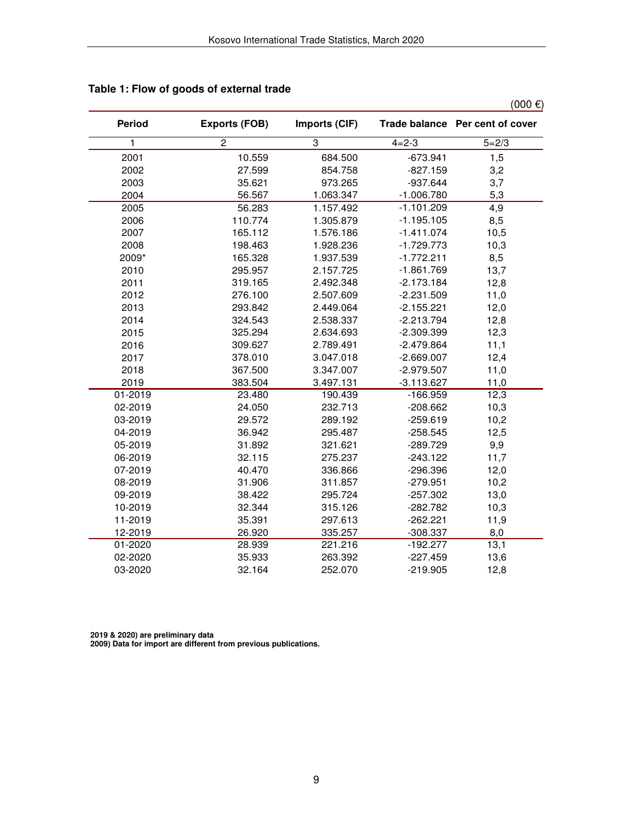|               |                      |               |              | $(000 \epsilon)$                |
|---------------|----------------------|---------------|--------------|---------------------------------|
| <b>Period</b> | <b>Exports (FOB)</b> | Imports (CIF) |              | Trade balance Per cent of cover |
| 1             | $\overline{c}$       | 3             | $4 = 2 - 3$  | $5 = 2/3$                       |
| 2001          | 10.559               | 684.500       | $-673.941$   | 1,5                             |
| 2002          | 27.599               | 854.758       | $-827.159$   | 3,2                             |
| 2003          | 35.621               | 973.265       | $-937.644$   | 3,7                             |
| 2004          | 56.567               | 1.063.347     | $-1.006.780$ | 5,3                             |
| 2005          | 56.283               | 1.157.492     | $-1.101.209$ | 4,9                             |
| 2006          | 110.774              | 1.305.879     | $-1.195.105$ | 8,5                             |
| 2007          | 165.112              | 1.576.186     | $-1.411.074$ | 10,5                            |
| 2008          | 198.463              | 1.928.236     | $-1.729.773$ | 10,3                            |
| 2009*         | 165.328              | 1.937.539     | $-1.772.211$ | 8,5                             |
| 2010          | 295.957              | 2.157.725     | $-1.861.769$ | 13,7                            |
| 2011          | 319.165              | 2.492.348     | $-2.173.184$ | 12,8                            |
| 2012          | 276.100              | 2.507.609     | $-2.231.509$ | 11,0                            |
| 2013          | 293.842              | 2.449.064     | $-2.155.221$ | 12,0                            |
| 2014          | 324.543              | 2.538.337     | $-2.213.794$ | 12,8                            |
| 2015          | 325.294              | 2.634.693     | $-2.309.399$ | 12,3                            |
| 2016          | 309.627              | 2.789.491     | $-2.479.864$ | 11,1                            |
| 2017          | 378.010              | 3.047.018     | $-2.669.007$ | 12,4                            |
| 2018          | 367.500              | 3.347.007     | $-2.979.507$ | 11,0                            |
| 2019          | 383.504              | 3.497.131     | $-3.113.627$ | 11,0                            |
| 01-2019       | 23.480               | 190.439       | $-166.959$   | 12,3                            |
| 02-2019       | 24.050               | 232.713       | $-208.662$   | 10,3                            |
| 03-2019       | 29.572               | 289.192       | $-259.619$   | 10,2                            |
| 04-2019       | 36.942               | 295.487       | $-258.545$   | 12,5                            |
| 05-2019       | 31.892               | 321.621       | $-289.729$   | 9,9                             |
| 06-2019       | 32.115               | 275.237       | $-243.122$   | 11,7                            |
| 07-2019       | 40.470               | 336.866       | $-296.396$   | 12,0                            |
| 08-2019       | 31.906               | 311.857       | $-279.951$   | 10,2                            |
| 09-2019       | 38.422               | 295.724       | $-257.302$   | 13,0                            |
| 10-2019       | 32.344               | 315.126       | $-282.782$   | 10,3                            |
| 11-2019       | 35.391               | 297.613       | $-262.221$   | 11,9                            |
| 12-2019       | 26.920               | 335.257       | -308.337     | 8,0                             |
| 01-2020       | 28.939               | 221.216       | $-192.277$   | 13,1                            |
| 02-2020       | 35.933               | 263.392       | $-227.459$   | 13,6                            |
| 03-2020       | 32.164               | 252.070       | $-219.905$   | 12,8                            |

### **Table 1: Flow of goods of external trade**

**2019 & 2020) are preliminary data 2009) Data for import are different from previous publications.**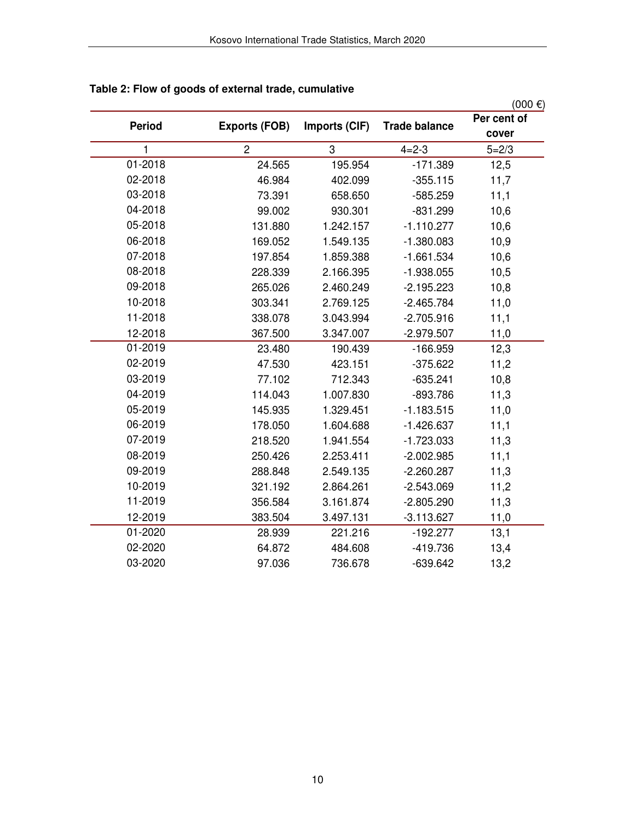|               |                      |               |                      | $(000 \epsilon)$ |
|---------------|----------------------|---------------|----------------------|------------------|
| <b>Period</b> | <b>Exports (FOB)</b> | Imports (CIF) | <b>Trade balance</b> | Per cent of      |
|               |                      |               |                      | cover            |
| 1             | $\overline{2}$       | 3             | $4 = 2 - 3$          | $5 = 2/3$        |
| 01-2018       | 24.565               | 195.954       | $-171.389$           | 12,5             |
| 02-2018       | 46.984               | 402.099       | $-355.115$           | 11,7             |
| 03-2018       | 73.391               | 658.650       | $-585.259$           | 11,1             |
| 04-2018       | 99.002               | 930.301       | $-831.299$           | 10,6             |
| 05-2018       | 131.880              | 1.242.157     | $-1.110.277$         | 10,6             |
| 06-2018       | 169.052              | 1.549.135     | $-1.380.083$         | 10,9             |
| 07-2018       | 197.854              | 1.859.388     | $-1.661.534$         | 10,6             |
| 08-2018       | 228.339              | 2.166.395     | $-1.938.055$         | 10,5             |
| 09-2018       | 265.026              | 2.460.249     | $-2.195.223$         | 10,8             |
| 10-2018       | 303.341              | 2.769.125     | $-2.465.784$         | 11,0             |
| 11-2018       | 338.078              | 3.043.994     | $-2.705.916$         | 11,1             |
| 12-2018       | 367.500              | 3.347.007     | $-2.979.507$         | 11,0             |
| 01-2019       | 23.480               | 190.439       | $-166.959$           | 12,3             |
| 02-2019       | 47.530               | 423.151       | $-375.622$           | 11,2             |
| 03-2019       | 77.102               | 712.343       | $-635.241$           | 10,8             |
| 04-2019       | 114.043              | 1.007.830     | $-893.786$           | 11,3             |
| 05-2019       | 145.935              | 1.329.451     | $-1.183.515$         | 11,0             |
| 06-2019       | 178.050              | 1.604.688     | $-1.426.637$         | 11,1             |
| 07-2019       | 218.520              | 1.941.554     | $-1.723.033$         | 11,3             |
| 08-2019       | 250.426              | 2.253.411     | $-2.002.985$         | 11,1             |
| 09-2019       | 288.848              | 2.549.135     | $-2.260.287$         | 11,3             |
| 10-2019       | 321.192              | 2.864.261     | $-2.543.069$         | 11,2             |
| 11-2019       | 356.584              | 3.161.874     | $-2.805.290$         | 11,3             |
| 12-2019       | 383.504              | 3.497.131     | $-3.113.627$         | 11,0             |
| 01-2020       | 28.939               | 221.216       | $-192.277$           | 13,1             |
| 02-2020       | 64.872               | 484.608       | $-419.736$           | 13,4             |
| 03-2020       | 97.036               | 736.678       | $-639.642$           | 13,2             |

### **Table 2: Flow of goods of external trade, cumulative**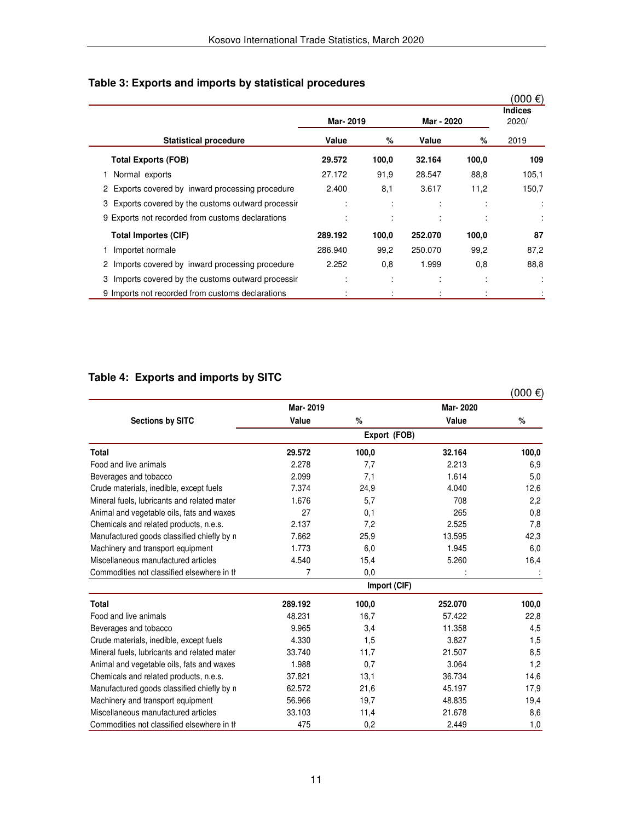|  | Table 3: Exports and imports by statistical procedures |  |  |  |
|--|--------------------------------------------------------|--|--|--|
|--|--------------------------------------------------------|--|--|--|

|                                                       |          |                          |                    |       | $(000 \in )$            |
|-------------------------------------------------------|----------|--------------------------|--------------------|-------|-------------------------|
|                                                       | Mar-2019 |                          | Mar - 2020         |       | <b>Indices</b><br>2020/ |
| <b>Statistical procedure</b>                          | Value    | %                        | Value              | %     | 2019                    |
| <b>Total Exports (FOB)</b>                            | 29.572   | 100,0                    | 32.164             | 100,0 | 109                     |
| Normal exports                                        | 27.172   | 91,9                     | 28.547             | 88,8  | 105,1                   |
| Exports covered by inward processing procedure<br>2   | 2.400    | 8,1                      | 3.617              | 11,2  | 150,7                   |
| Exports covered by the customs outward processir<br>3 |          | $\overline{a}$           | ٠<br>$\cdot$       |       | ÷                       |
| 9 Exports not recorded from customs declarations      |          | $\overline{\phantom{a}}$ | $\cdot$            |       |                         |
| Total Importes (CIF)                                  | 289.192  | 100,0                    | 252.070            | 100,0 | 87                      |
| Importet normale                                      | 286.940  | 99,2                     | 250.070            | 99,2  | 87,2                    |
| Imports covered by inward processing procedure<br>2   | 2.252    | 0,8                      | 1.999              | 0,8   | 88,8                    |
| 3<br>Imports covered by the customs outward processir |          | ٠<br>$\cdot$             | $\cdot$<br>$\cdot$ | ٠     |                         |
| 9 Imports not recorded from customs declarations      |          |                          |                    |       |                         |

### **Table 4: Exports and imports by SITC**

|                                             |          |              |          | $(000 \epsilon)$ |
|---------------------------------------------|----------|--------------|----------|------------------|
|                                             | Mar-2019 |              | Mar-2020 |                  |
| <b>Sections by SITC</b>                     | Value    | $\%$         | Value    | %                |
|                                             |          | Export (FOB) |          |                  |
| <b>Total</b>                                | 29.572   | 100,0        | 32.164   | 100,0            |
| Food and live animals                       | 2.278    | 7,7          | 2.213    | 6,9              |
| Beverages and tobacco                       | 2.099    | 7,1          | 1.614    | 5,0              |
| Crude materials, inedible, except fuels     | 7.374    | 24,9         | 4.040    | 12,6             |
| Mineral fuels, lubricants and related mater | 1.676    | 5,7          | 708      | 2,2              |
| Animal and vegetable oils, fats and waxes   | 27       | 0,1          | 265      | 0,8              |
| Chemicals and related products, n.e.s.      | 2.137    | 7,2          | 2.525    | 7,8              |
| Manufactured goods classified chiefly by n  | 7.662    | 25,9         | 13.595   | 42,3             |
| Machinery and transport equipment           | 1.773    | 6,0          | 1.945    | 6,0              |
| Miscellaneous manufactured articles         | 4.540    | 15,4         | 5.260    | 16,4             |
| Commodities not classified elsewhere in th  | 7        | 0,0          |          |                  |
|                                             |          | Import (CIF) |          |                  |
| <b>Total</b>                                | 289.192  | 100,0        | 252.070  | 100,0            |
| Food and live animals                       | 48.231   | 16,7         | 57.422   | 22,8             |
| Beverages and tobacco                       | 9.965    | 3,4          | 11.358   | 4,5              |
| Crude materials, inedible, except fuels     | 4.330    | 1,5          | 3.827    | 1,5              |
| Mineral fuels, lubricants and related mater | 33.740   | 11,7         | 21.507   | 8,5              |
| Animal and vegetable oils, fats and waxes   | 1.988    | 0,7          | 3.064    | 1,2              |
| Chemicals and related products, n.e.s.      | 37.821   | 13,1         | 36.734   | 14,6             |
| Manufactured goods classified chiefly by n  | 62.572   | 21,6         | 45.197   | 17,9             |
| Machinery and transport equipment           | 56.966   | 19,7         | 48.835   | 19,4             |
| Miscellaneous manufactured articles         | 33.103   | 11,4         | 21.678   | 8,6              |
| Commodities not classified elsewhere in the | 475      | 0,2          | 2.449    | 1,0              |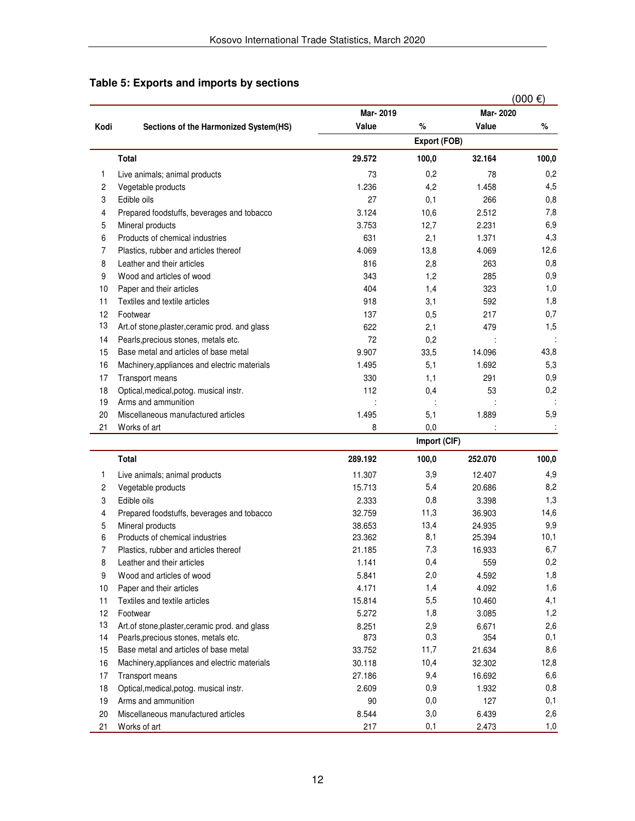|      |                                                 |          |                |          | $(000 \in )$   |
|------|-------------------------------------------------|----------|----------------|----------|----------------|
|      |                                                 | Mar-2019 |                | Mar-2020 |                |
| Kodi | Sections of the Harmonized System(HS)           | Value    | $\%$           | Value    | $\%$           |
|      |                                                 |          | Export (FOB)   |          |                |
|      | <b>Total</b>                                    | 29.572   | 100,0          | 32.164   | 100,0          |
| 1    | Live animals; animal products                   | 73       | 0,2            | 78       | 0,2            |
| 2    | Vegetable products                              | 1.236    | 4,2            | 1.458    | 4,5            |
| 3    | Edible oils                                     | 27       | 0,1            | 266      | 0,8            |
| 4    | Prepared foodstuffs, beverages and tobacco      | 3.124    | 10,6           | 2.512    | 7,8            |
| 5    | Mineral products                                | 3.753    | 12,7           | 2.231    | 6,9            |
| 6    | Products of chemical industries                 | 631      | 2,1            | 1.371    | 4,3            |
| 7    | Plastics, rubber and articles thereof           | 4.069    | 13,8           | 4.069    | 12,6           |
| 8    | Leather and their articles                      | 816      | 2,8            | 263      | 0,8            |
| 9    | Wood and articles of wood                       | 343      | 1,2            | 285      | 0,9            |
| 10   | Paper and their articles                        | 404      | 1,4            | 323      | 1,0            |
| 11   | Textiles and textile articles                   | 918      | 3,1            | 592      | 1,8            |
| 12   | Footwear                                        | 137      | 0,5            | 217      | 0,7            |
| 13   | Art. of stone, plaster, ceramic prod. and glass | 622      | 2,1            | 479      | 1,5            |
| 14   | Pearls, precious stones, metals etc.            | 72       | 0,2            |          |                |
| 15   | Base metal and articles of base metal           | 9.907    | 33,5           | 14.096   | 43,8           |
| 16   | Machinery, appliances and electric materials    | 1.495    | 5,1            | 1.692    | 5,3            |
| 17   | Transport means                                 | 330      | 1,1            | 291      | 0,9            |
| 18   | Optical, medical, potog. musical instr.         | 112      | 0,4            | 53       | 0,2            |
| 19   | Arms and ammunition                             |          |                |          |                |
| 20   | Miscellaneous manufactured articles             | 1.495    | 5,1            | 1.889    | 5,9            |
| 21   | Works of art                                    | 8        | 0,0            |          |                |
|      |                                                 |          | Import (CIF)   |          |                |
|      | <b>Total</b>                                    | 289.192  | 100,0          | 252.070  | 100,0          |
| 1    | Live animals; animal products                   | 11.307   | 3,9            | 12.407   | 4,9            |
| 2    | Vegetable products                              | 15.713   | 5,4            | 20.686   | 8,2            |
| 3    | Edible oils                                     | 2.333    | 0,8            | 3.398    | 1,3            |
| 4    | Prepared foodstuffs, beverages and tobacco      | 32.759   | 11,3           | 36.903   | 14,6           |
| 5    | Mineral products                                | 38.653   | 13,4           | 24.935   | 9,9            |
| 6    | Products of chemical industries                 | 23.362   | 8,1            | 25.394   | 10,1           |
| 7    | Plastics, rubber and articles thereof           | 21.185   | 7,3            | 16.933   | 6,7            |
| 8    | Leather and their articles                      | 1.141    | 0,4            | 559      | 0,2            |
| 9    | Wood and articles of wood                       | 5.841    | 2,0            | 4.592    | 1,8            |
| 10   | Paper and their articles                        | 4.171    | 1,4            | 4.092    | 1,6            |
| 11   | Textiles and textile articles                   | 15.814   | 5,5            | 10.460   | 4,1            |
| 12   | Footwear                                        | 5.272    | 1,8            | 3.085    | 1,2            |
| 13   | Art.of stone, plaster, ceramic prod. and glass  | 8.251    | 2,9            | 6.671    | 2,6            |
| 14   | Pearle precious stones metals etc.              | 873      | 0 <sub>3</sub> | 354      | 0 <sub>1</sub> |

### **Table 5: Exports and imports by sections**

| $\mathbf{I}$ | i idolloo, rubbor aria articloo tricroor        | <u>. ov</u> | $\cdot$ , $\sim$ | 10.JUU |      |
|--------------|-------------------------------------------------|-------------|------------------|--------|------|
| 8            | Leather and their articles                      | 1.141       | 0,4              | 559    | 0,2  |
| 9            | Wood and articles of wood                       | 5.841       | 2,0              | 4.592  | 1,8  |
| 10           | Paper and their articles                        | 4.171       | 1,4              | 4.092  | 1,6  |
| 11           | Textiles and textile articles                   | 15.814      | 5,5              | 10.460 | 4,1  |
| 12           | Footwear                                        | 5.272       | 1,8              | 3.085  | 1,2  |
| 13           | Art. of stone, plaster, ceramic prod. and glass | 8.251       | 2,9              | 6.671  | 2,6  |
| 14           | Pearls, precious stones, metals etc.            | 873         | 0,3              | 354    | 0,1  |
| 15           | Base metal and articles of base metal           | 33.752      | 11,7             | 21.634 | 8,6  |
| 16           | Machinery, appliances and electric materials    | 30.118      | 10,4             | 32.302 | 12,8 |
| 17           | Transport means                                 | 27.186      | 9,4              | 16.692 | 6,6  |
| 18           | Optical, medical, potog. musical instr.         | 2.609       | 0.9              | 1.932  | 0,8  |
| 19           | Arms and ammunition                             | 90          | 0,0              | 127    | 0,1  |
| 20           | Miscellaneous manufactured articles             | 8.544       | 3,0              | 6.439  | 2,6  |
| 21           | Works of art                                    | 217         | 0,1              | 2.473  | 1,0  |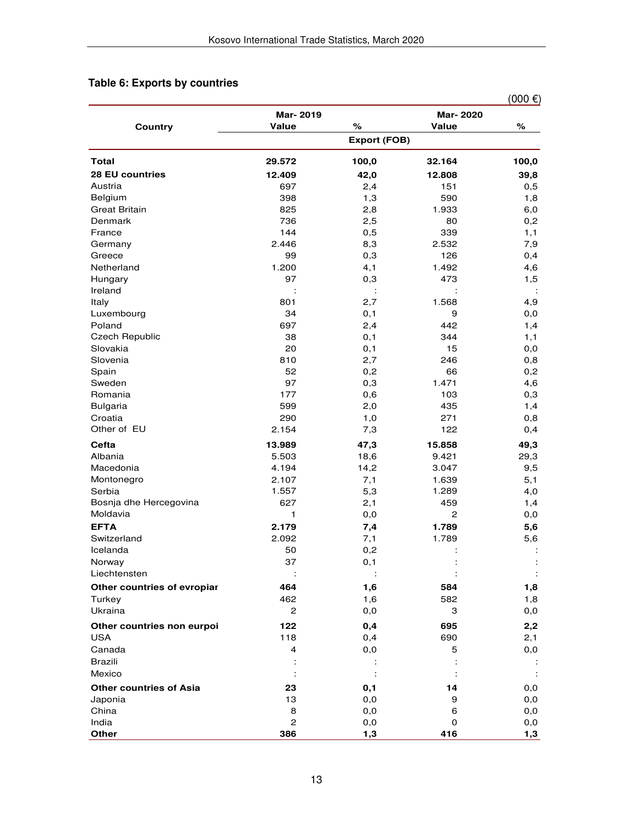## **Table 6: Exports by countries**

|                                |                |                     |                 | $(000 \epsilon)$     |
|--------------------------------|----------------|---------------------|-----------------|----------------------|
|                                | Mar-2019       |                     | <b>Mar-2020</b> |                      |
| <b>Country</b>                 | Value          | %                   | Value           | %                    |
|                                |                | <b>Export (FOB)</b> |                 |                      |
| <b>Total</b>                   | 29.572         | 100,0               | 32.164          | 100,0                |
| <b>28 EU countries</b>         | 12.409         | 42,0                | 12.808          | 39,8                 |
| Austria                        | 697            | 2,4                 | 151             | 0,5                  |
| Belgium                        | 398            | 1,3                 | 590             | 1,8                  |
| <b>Great Britain</b>           | 825            | 2,8                 | 1.933           | 6,0                  |
| Denmark                        | 736            | 2,5                 | 80              | 0,2                  |
| France                         | 144            | 0,5                 | 339             | 1,1                  |
| Germany                        | 2.446          | 8,3                 | 2.532           | 7,9                  |
| Greece                         | 99             | 0,3                 | 126             | 0,4                  |
| Netherland                     | 1.200          | 4,1                 | 1.492           | 4,6                  |
| Hungary                        | 97             | 0,3                 | 473             | 1,5                  |
| Ireland                        |                | ÷                   |                 | ÷                    |
| Italy                          | 801            | 2,7                 | 1.568           | 4,9                  |
| Luxembourg                     | 34             | 0,1                 | 9               | 0,0                  |
| Poland                         | 697            | 2,4                 | 442             | 1,4                  |
| <b>Czech Republic</b>          | 38             | 0,1                 | 344             | 1,1                  |
| Slovakia                       | 20             | 0,1                 | 15              | 0,0                  |
| Slovenia                       | 810            | 2,7                 | 246             | 0,8                  |
| Spain                          | 52             | 0,2                 | 66              | 0,2                  |
| Sweden                         | 97             | 0,3                 | 1.471           | 4,6                  |
| Romania                        | 177            | 0,6                 | 103             | 0,3                  |
| <b>Bulgaria</b>                | 599            | 2,0                 | 435             | 1,4                  |
| Croatia                        | 290            | 1,0                 | 271             | 0,8                  |
| Other of EU                    | 2.154          | 7,3                 | 122             | 0,4                  |
| Cefta                          | 13.989         | 47,3                | 15.858          | 49,3                 |
| Albania                        | 5.503          | 18,6                | 9.421           | 29,3                 |
| Macedonia                      | 4.194          | 14,2                | 3.047           | 9,5                  |
| Montonegro                     | 2.107          | 7,1                 | 1.639           | 5,1                  |
| Serbia                         | 1.557          | 5,3                 | 1.289           | 4,0                  |
| Bosnja dhe Hercegovina         | 627            | 2,1                 | 459             | 1,4                  |
| Moldavia                       | 1              | 0,0                 | 2               | 0,0                  |
| <b>EFTA</b>                    | 2.179          | 7,4                 | 1.789           | 5,6                  |
| Switzerland                    | 2.092          | 7,1                 | 1.789           | 5,6                  |
| Icelanda                       | 50             | 0,2                 |                 |                      |
| Norway                         | 37             | 0,1                 |                 | ÷                    |
| Liechtensten                   |                |                     |                 | $\ddot{\phantom{a}}$ |
| Other countries of evropiar    | 464            | 1,6                 | 584             | 1,8                  |
| Turkey                         | 462            | 1,6                 | 582             | 1,8                  |
| Ukraina                        | $\mathbf{2}$   | 0,0                 | 3               | 0,0                  |
| Other countries non eurpoi     | 122            | 0,4                 | 695             | 2,2                  |
| <b>USA</b>                     | 118            | 0,4                 | 690             | 2,1                  |
| Canada                         | 4              | 0,0                 | 5               | 0,0                  |
| <b>Brazili</b>                 |                |                     |                 |                      |
| Mexico                         |                |                     |                 | ÷                    |
|                                |                |                     |                 |                      |
| <b>Other countries of Asia</b> | 23             | 0,1                 | 14              | 0,0                  |
| Japonia                        | 13             | 0,0                 | 9               | 0,0                  |
| China                          | 8              | 0,0                 | 6               | 0,0                  |
| India                          | $\overline{2}$ | 0,0                 | $\mathbf 0$     | 0,0                  |
| Other                          | 386            | 1,3                 | 416             | 1,3                  |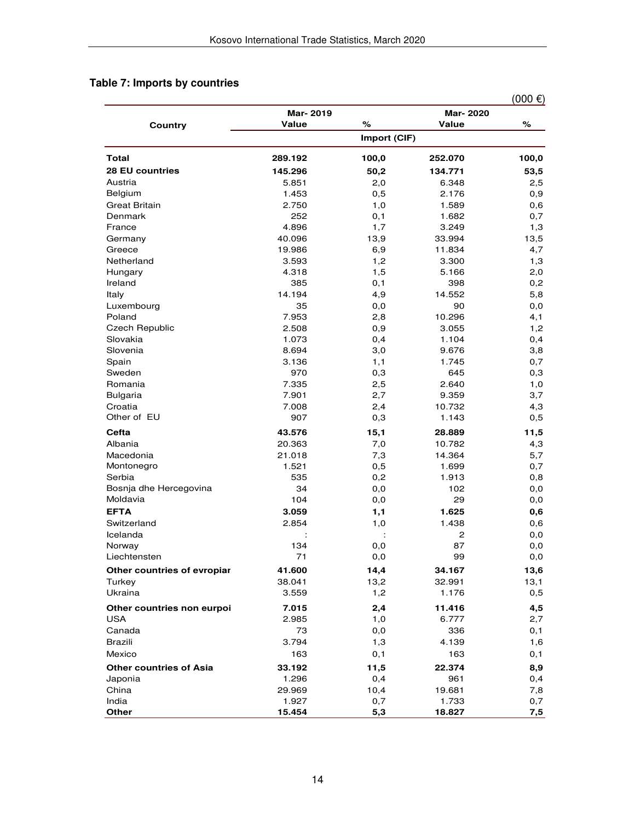### **Table 7: Imports by countries**

|                                |          |              |          | $(000)$ €) |
|--------------------------------|----------|--------------|----------|------------|
|                                | Mar-2019 |              | Mar-2020 |            |
| Country                        | Value    | $\%$         | Value    | %          |
|                                |          | Import (CIF) |          |            |
| <b>Total</b>                   | 289.192  | 100,0        | 252.070  | 100,0      |
| <b>28 EU countries</b>         | 145.296  | 50,2         | 134.771  | 53,5       |
| Austria                        | 5.851    | 2,0          | 6.348    | 2,5        |
| Belgium                        | 1.453    | 0,5          | 2.176    | 0,9        |
| <b>Great Britain</b>           | 2.750    | 1,0          | 1.589    | 0,6        |
| Denmark                        | 252      | 0,1          | 1.682    | 0,7        |
| France                         | 4.896    | 1,7          | 3.249    | 1,3        |
| Germany                        | 40.096   | 13,9         | 33.994   | 13,5       |
| Greece                         | 19.986   | 6,9          | 11.834   | 4,7        |
| Netherland                     | 3.593    | 1,2          | 3.300    | 1,3        |
| Hungary                        | 4.318    | 1,5          | 5.166    | 2,0        |
| Ireland                        | 385      | 0,1          | 398      | 0,2        |
| Italy                          | 14.194   | 4,9          | 14.552   | 5,8        |
| Luxembourg                     | 35       | 0,0          | 90       | 0,0        |
| Poland                         | 7.953    | 2,8          | 10.296   | 4,1        |
| <b>Czech Republic</b>          | 2.508    | 0,9          | 3.055    | 1,2        |
| Slovakia                       | 1.073    | 0,4          | 1.104    | 0,4        |
| Slovenia                       | 8.694    | 3,0          | 9.676    | 3,8        |
| Spain                          | 3.136    | 1,1          | 1.745    | 0,7        |
| Sweden                         | 970      | 0,3          | 645      | 0,3        |
| Romania                        | 7.335    | 2,5          | 2.640    | 1,0        |
| Bulgaria                       | 7.901    | 2,7          | 9.359    | 3,7        |
| Croatia                        | 7.008    | 2,4          | 10.732   | 4,3        |
| Other of EU                    | 907      | 0,3          | 1.143    | 0,5        |
| Cefta                          | 43.576   | 15,1         | 28.889   | 11,5       |
| Albania                        | 20.363   | 7,0          | 10.782   | 4,3        |
| Macedonia                      | 21.018   | 7,3          | 14.364   | 5,7        |
| Montonegro                     | 1.521    | 0,5          | 1.699    | 0,7        |
| Serbia                         | 535      | 0,2          | 1.913    | 0,8        |
| Bosnja dhe Hercegovina         | 34       | 0,0          | 102      | 0,0        |
| Moldavia                       | 104      | 0,0          | 29       | 0,0        |
| <b>EFTA</b>                    | 3.059    | 1,1          | 1.625    | 0,6        |
| Switzerland                    | 2.854    | 1,0          | 1.438    | 0,6        |
| Icelanda                       |          |              | 2        | $_{0,0}$   |
| Norway                         | 134      | 0,0          | 87       | 0,0        |
| Liechtensten                   | 71       | 0,0          | 99       | 0,0        |
| Other countries of evropiar    | 41.600   | 14,4         | 34.167   | 13,6       |
| Turkey                         | 38.041   | 13,2         | 32.991   | 13,1       |
| Ukraina                        | 3.559    | 1,2          | 1.176    | 0,5        |
| Other countries non eurpoi     | 7.015    | 2,4          | 11.416   | 4,5        |
| <b>USA</b>                     | 2.985    | 1,0          | 6.777    | 2,7        |
| Canada                         | 73       | 0,0          | 336      | 0,1        |
| Brazili                        | 3.794    | 1,3          | 4.139    | 1,6        |
| Mexico                         | 163      | 0,1          | 163      |            |
|                                |          |              |          | 0,1        |
| <b>Other countries of Asia</b> | 33.192   | 11,5         | 22.374   | 8,9        |
| Japonia                        | 1.296    | 0,4          | 961      | 0,4        |
| China                          | 29.969   | 10,4         | 19.681   | 7,8        |
| India                          | 1.927    | 0,7          | 1.733    | 0,7        |
| Other                          | 15.454   | 5,3          | 18.827   | 7,5        |